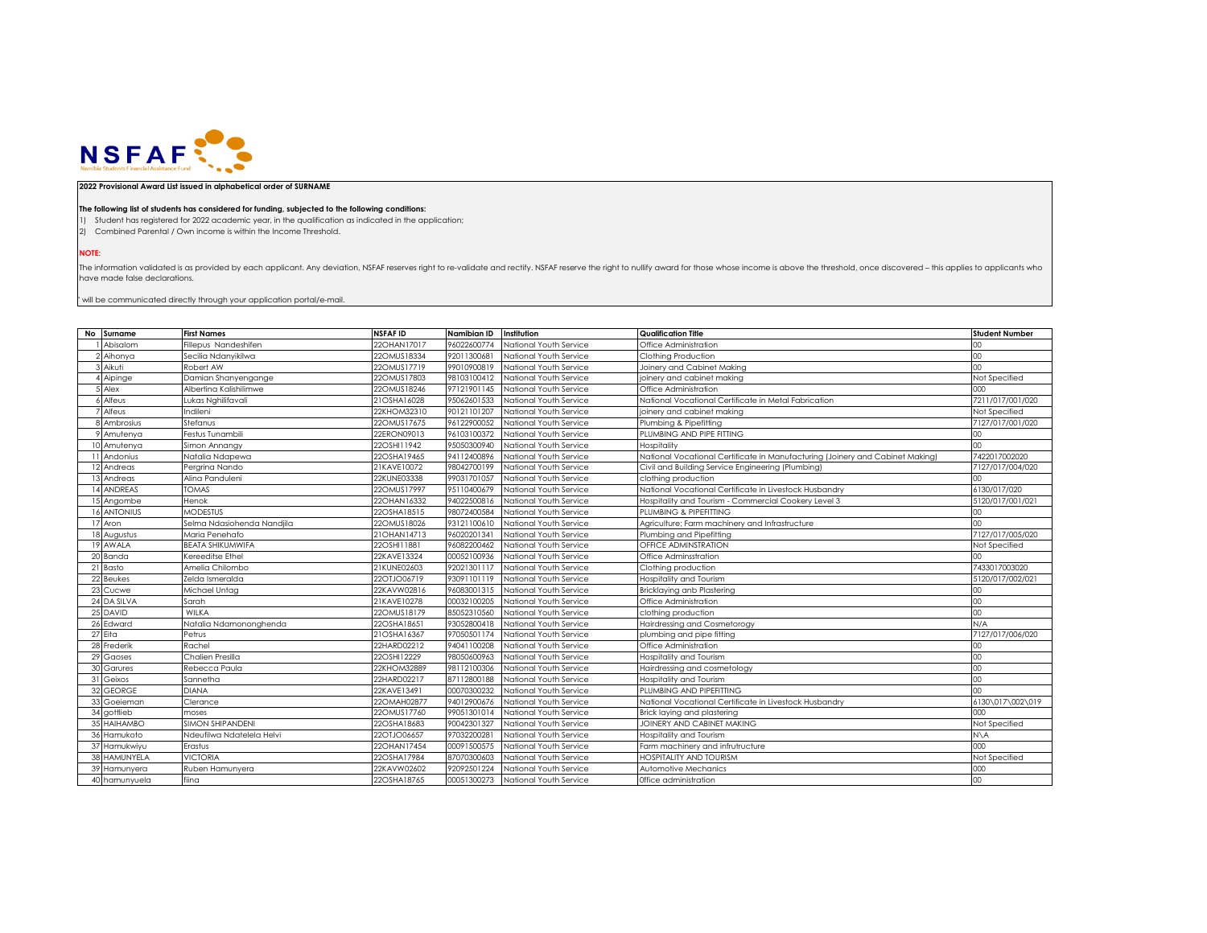

## **2022 Provisional Award List issued in alphabetical order of SURNAME**

## **The following list of students has considered for funding, subjected to the following conditions:**

1) Student has registered for 2022 academic year, in the qualification as indicated in the application;

2) Combined Parental / Own income is within the Income Threshold.

**NOTE:**

The information validated is as provided by each applicant. Any deviation, NSFAF reserves right to re-validate and rectify. NSFAF reserve the right to nullify award for those whose income is above the threshold, once disco have made false declarations.

 $^{\circ}$  will be communicated directly through your application portal/e-mail.

| No Surname         | <b>First Names</b>         | <b>NSFAFID</b> | Namibian ID | Institution            | <b>Qualification Title</b>                                                    | <b>Student Number</b> |
|--------------------|----------------------------|----------------|-------------|------------------------|-------------------------------------------------------------------------------|-----------------------|
| Abisalom           | Fillepus Nandeshifen       | 22OHAN17017    | 96022600774 | National Youth Service | Office Administration                                                         | 00                    |
| 2 Aihonya          | Secilia Ndanyikilwa        | 22OMUS18334    | 92011300681 | National Youth Service | Clothing Production                                                           | $00\,$                |
| Aikuti             | Robert AW                  | 22OMUS17719    | 99010900819 | National Youth Service | Joinery and Cabinet Making                                                    | 00 <sub>1</sub>       |
| Aipinge            | Damian Shanyengange        | 22OMUS17803    | 98103100412 | National Youth Service | joinery and cabinet making                                                    | Not Specified         |
| Alex               | Albertina Kalishilimwe     | 22OMUS18246    | 97121901145 | National Youth Service | Office Administration                                                         | 000                   |
| Alfeus             | Lukas Nghilifavali         | 21OSHA16028    | 95062601533 | National Youth Service | National Vocational Certificate in Metal Fabrication                          | 7211/017/001/020      |
| Alfeus             | ndileni                    | 22KHOM32310    | 90121101207 | National Youth Service | joinery and cabinet making                                                    | Not Specified         |
| Ambrosius          | Stefanus                   | 22OMUS17675    | 96122900052 | National Youth Service | Plumbing & Pipefitting                                                        | 7127/017/001/020      |
| Amutenya           | Festus Tunambili           | 22ERON09013    | 96103100372 | National Youth Service | PLUMBING AND PIPE FITTING                                                     | $^{00}$               |
| Amutenya           | Simon Annangy              | 22OSHI11942    | 95050300940 | National Youth Service | Hospitality                                                                   | 00                    |
| Andonius           | Natalia Ndapewa            | 22OSHA19465    | 94112400896 | National Youth Service | National Vocational Certificate in Manufacturing (Joinery and Cabinet Making) | 7422017002020         |
| 12 Andreas         | Pergrina Nando             | 21KAVE10072    | 98042700199 | National Youth Service | Civil and Building Service Engineering (Plumbing)                             | 7127/017/004/020      |
| 13 Andreas         | Alina Panduleni            | 22KUNE03338    | 99031701057 | National Youth Service | clothing production                                                           | $00\,$                |
| 14 ANDREAS         | <b>TOMAS</b>               | 22OMUS17997    | 95110400679 | National Youth Service | National Vocational Certificate in Livestock Husbandry                        | 6130/017/020          |
| 15 Angombe         | Henok                      | 22OHAN16332    | 94022500816 | National Youth Service | Hospitality and Tourism - Commercial Cookery Level 3                          | 5120/017/001/021      |
| <b>16 ANTONIUS</b> | <b>MODESTUS</b>            | 22OSHA18515    | 98072400584 | National Youth Service | PLUMBING & PIPEFITTING                                                        | $00\,$                |
| 17 Aron            | Selma Ndasiohenda Nandjila | 22OMUS18026    | 93121100610 | National Youth Service | Agriculture; Farm machinery and Infrastructure                                | $^{00}$               |
| 18 Augustus        | Maria Penehafo             | 21OHAN14713    | 96020201341 | National Youth Service | Plumbing and Pipefitting                                                      | 7127/017/005/020      |
| 19 AWALA           | <b>BEATA SHIKUMWIFA</b>    | 22OSHI11881    | 96082200462 | National Youth Service | OFFICE ADMINSTRATION                                                          | Not Specified         |
| 20 Banda           | Kereeditse Ethel           | 22KAVE13324    | 00052100936 | National Youth Service | Office Adminsstration                                                         | CC                    |
| 21 Basto           | Amelia Chilombo            | 21KUNE02603    | 92021301117 | National Youth Service | Clothing production                                                           | 7433017003020         |
| 22 Beukes          | Zelda Ismeralda            | 22OTJO06719    | 93091101119 | National Youth Service | Hospitality and Tourism                                                       | 5120/017/002/021      |
| 23 Cucwe           | Michael Untag              | 22KAVW02816    | 96083001315 | National Youth Service | Bricklaying anb Plastering                                                    | $^{00}$               |
| 24 DA SILVA        | Sarah                      | 21KAVE10278    | 00032100205 | National Youth Service | Office Administration                                                         | 00                    |
| 25 DAVID           | WILKA                      | 22OMUS18179    | 85052310560 | National Youth Service | clothing production                                                           | $00\,$                |
| 26 Edward          | Natalia Ndamononghenda     | 22OSHA18651    | 93052800418 | National Youth Service | Hairdressing and Cosmetorogy                                                  | N/A                   |
| 27 Eita            | Petrus                     | 21OSHA16367    | 97050501174 | National Youth Service | plumbing and pipe fitting                                                     | 7127/017/006/020      |
| 28 Frederik        | Rachel                     | 22HARD02212    | 94041100208 | National Youth Service | Office Administration                                                         | $00\,$                |
| 29 Gaoses          | Chalien Presilla           | 22OSHI12229    | 98050600963 | National Youth Service | Hospitality and Tourism                                                       | 00                    |
| 30 Garures         | Rebecca Paula              | 22KHOM32889    | 98112100306 | National Youth Service | Hairdressing and cosmetology                                                  | $00\,$                |
| 31 Geixos          | Sannetha                   | 22HARD02217    | 87112800188 | National Youth Service | Hospitality and Tourism                                                       | $00\,$                |
| 32 GEORGE          | <b>DIANA</b>               | 22KAVE13491    | 00070300232 | National Youth Service | PLUMBING AND PIPEFITTING                                                      | 00                    |
| 33 Goeieman        | Clerance                   | 22OMAH02877    | 94012900676 | National Youth Service | National Vocational Certificate in Livestock Husbandry                        | 6130\017\002\019      |
| 34 gottlieb        | moses                      | 22OMUS17760    | 99051301014 | National Youth Service | Brick laying and plastering                                                   | 000                   |
| 35 HAIHAMBO        | <b>SIMON SHIPANDENI</b>    | 22OSHA18683    | 90042301327 | National Youth Service | JOINERY AND CABINET MAKING                                                    | Not Specified         |
| 36 Hamukoto        | Ndeufilwa Ndatelela Helvi  | 22OTJO06657    | 97032200281 | National Youth Service | Hospitality and Tourism                                                       | $N\setminus A$        |
| 37 Hamukwiyu       | Erastus                    | 22OHAN17454    | 00091500575 | National Youth Service | Farm machinery and infrutructure                                              | 000                   |
| 38 HAMUNYELA       | <b>VICTORIA</b>            | 22OSHA17984    | 87070300603 | National Youth Service | <b>HOSPITALITY AND TOURISM</b>                                                | Not Specified         |
| 39 Hamunyera       | Ruben Hamunyera            | 22KAVW02602    | 92092501224 | National Youth Service | Automotive Mechanics                                                          | 000                   |
| 40 hamunyuela      | fiina                      | 22OSHA18765    | 00051300273 | National Youth Service | Office administration                                                         | 00 <sub>1</sub>       |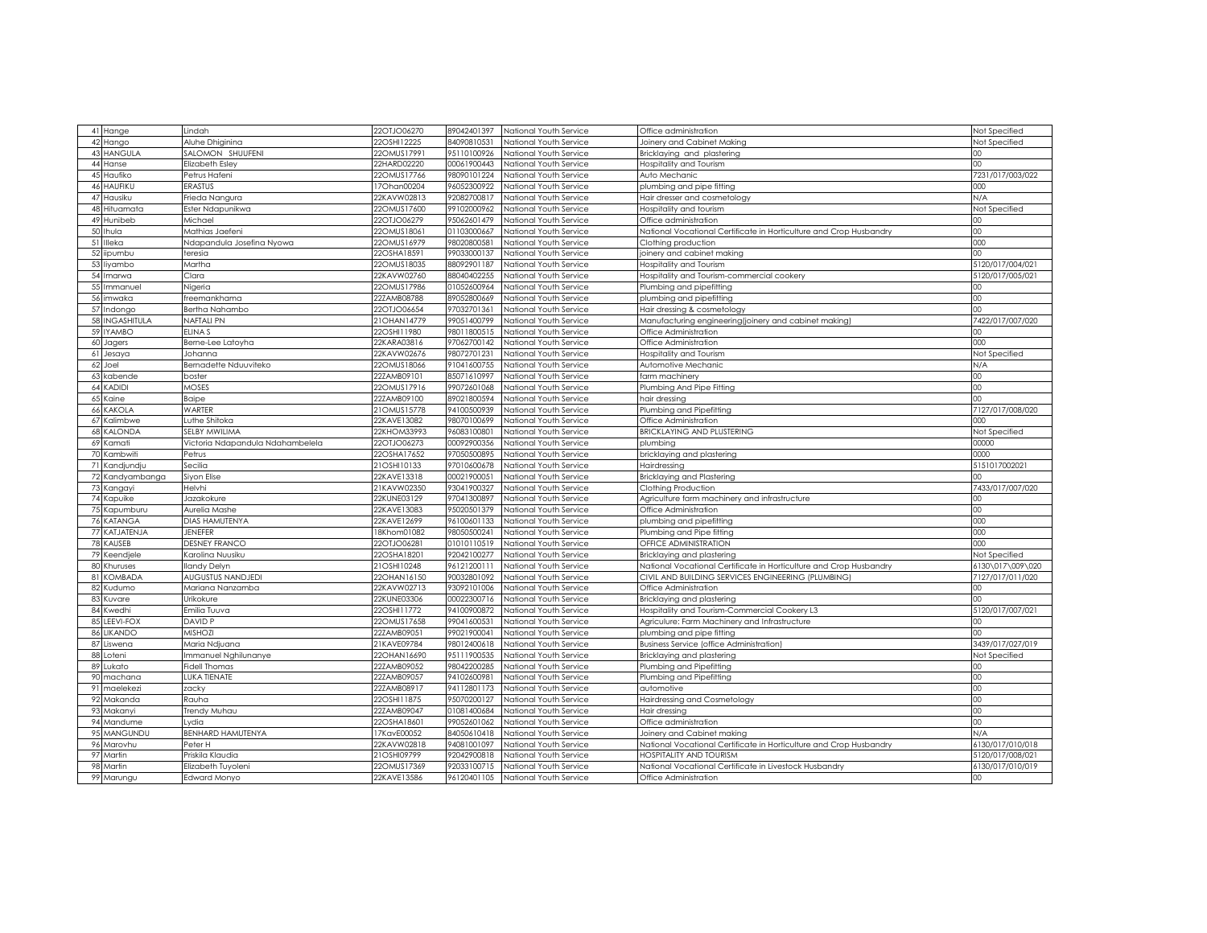|    | 41 Hange                    | Lindah                           | 22OTJO06270                | 89042401397                | National Youth Service | Office administration                                              | Not Specified    |
|----|-----------------------------|----------------------------------|----------------------------|----------------------------|------------------------|--------------------------------------------------------------------|------------------|
|    | 42 Hango                    | Aluhe Dhiginina                  | 22OSHI12225                | 84090810531                | National Youth Service | Joinery and Cabinet Making                                         | Not Specified    |
|    | 43 HANGULA                  | SALOMON SHUUFENI                 | 22OMUS17991                | 95110100926                | National Youth Service | Bricklaying and plastering                                         |                  |
|    |                             |                                  | 22HARD02220                | 00061900443                |                        |                                                                    | $00\,$           |
|    | 44 Hanse<br>45 Haufiko      | Elizabeth Esley<br>Petrus Hafeni | 22OMUS17766                | 98090101224                | National Youth Service | Hospitality and Tourism                                            | 7231/017/003/022 |
|    |                             | ERASTUS                          |                            |                            | National Youth Service | Auto Mechanic                                                      |                  |
|    | 46 HAUFIKU                  |                                  | 17Ohan00204                | 96052300922                | National Youth Service | plumbing and pipe fitting                                          | 000              |
|    | 47 Hausiku                  | Frieda Nangura                   | 22KAVW02813                | 92082700817                | National Youth Service | Hair dresser and cosmetology                                       | N/A              |
|    | 48 Hituamata                | Ester Ndapunikwa                 | 22OMUS17600                | 99102000962                | National Youth Service | Hospitality and tourism                                            | Not Specified    |
|    | 49 Hunibeb                  | Michael                          | 22OTJO06279                | 95062601479                | National Youth Service | Office administration                                              | 00               |
|    | 50 Ihula                    | Mathias Jaefeni                  | 22OMUS18061                | 01103000667                | National Youth Service | National Vocational Certificate in Horticulture and Crop Husbandry | 00               |
|    | 51 Illeka                   | Ndapandula Josefina Nyowa        | 22OMUS16979                | 98020800581                | National Youth Service | Clothing production                                                | 000              |
|    | 52 iipumbu                  | teresia                          | 22OSHA18591                | 99033000137                | National Youth Service | joinery and cabinet making                                         | 00               |
|    | 53 liyambo                  | Vlartha                          | 22OMUS18035                | 88092901187                | National Youth Service | Hospitality and Tourism                                            | 5120/017/004/021 |
|    | 54 Imarwa                   | Clara                            | 22KAVW02760                | 88040402255                | National Youth Service | Hospitality and Tourism-commercial cookery                         | 5120/017/005/021 |
|    | 55 Immanuel                 | Vigeria                          | 22OMUS17986                | 01052600964                | National Youth Service | Plumbing and pipefitting                                           | $^{00}$          |
|    | 56 imwaka                   | reemankhama                      | 22ZAMB08788                | 89052800669                | National Youth Service | plumbing and pipefitting                                           | $00\,$           |
|    | 57 Indongo                  | Bertha Nahambo                   | 22OTJO06654                | 97032701361                | National Youth Service | Hair dressing & cosmetology                                        | $00\,$           |
|    | 58 INGASHITULA              | NAFTALI PN                       | 21OHAN14779                | 99051400799                | National Youth Service | Manufacturing engineering(joinery and cabinet making)              | 7422/017/007/020 |
|    | 59 IYAMBO                   | ELINA S                          | 22OSHI11980                | 98011800515                | National Youth Service | Office Administration                                              | 00               |
| 60 | Jagers                      | Berne-Lee Latoyha                | 22KARA03816                | 97062700142                | National Youth Service | Office Administration                                              | 000              |
| 61 | Jesaya                      | Johanna                          | 22KAVW02676                | 98072701231                | National Youth Service | Hospitality and Tourism                                            | Not Specified    |
|    | 62 Joel                     | Bernadette Nduuviteko            | 22OMUS18066                | 91041600755                | National Youth Service | Automotive Mechanic                                                | N/A              |
|    | 63 kabende                  | boster                           | 22ZAMB09101                | 85071610997                | National Youth Service | farm machinery                                                     | $00\,$           |
|    | 64 KADIDI                   | <b>MOSES</b>                     | 22OMUS17916                | 99072601068                | National Youth Service | Plumbing And Pipe Fitting                                          | $00\,$           |
|    | 65 Kaine                    | Baipe                            | 22ZAMB09100                | 89021800594                | National Youth Service | hair dressing                                                      | 00 <sub>0</sub>  |
|    | 66 KAKOLA                   | <b>WARTER</b>                    | 21OMUS15778                | 94100500939                | National Youth Service | Plumbing and Pipefitting                                           | 7127/017/008/020 |
|    | 67 Kalimbwe                 | Luthe Shitoka                    | 22KAVE13082                | 98070100699                | National Youth Service | Office Administration                                              | 000              |
|    | 68 KALONDA                  | SELBY MWILIMA                    | 22KHOM33993                | 96083100801                | National Youth Service | <b>BRICKLAYING AND PLUSTERING</b>                                  | Not Specified    |
|    | 69 Kamati                   | Victoria Ndapandula Ndahambelela | 22OTJO06273                | 00092900356                | National Youth Service | plumbing                                                           | 00000            |
| 70 | Kambwiti                    | Petrus                           | 22OSHA17652                | 97050500895                | National Youth Service | bricklaying and plastering                                         | 0000             |
|    | 71 Kandjundju               | Secilia                          | 21OSHI10133                | 97010600678                | National Youth Service | Hairdressing                                                       | 5151017002021    |
|    | 72 Kandyambanga             | Siyon Elise                      | 22KAVE13318                | 00021900051                | National Youth Service | Bricklaying and Plastering                                         | 00               |
|    | 73 Kangayi                  | Helvhi                           | 21KAVW02350                | 93041900327                | National Youth Service | Clothing Production                                                | 7433/017/007/020 |
|    | 74 Kapuike                  | Jazakokure                       | 22KUNE03129                | 97041300897                | National Youth Service |                                                                    | ΩO               |
|    | 75 Kapumburu                |                                  | 22KAVE13083                | 95020501379                |                        | Agriculture farm machinery and infrastructure                      | $00\,$           |
|    |                             | Aurelia Mashe                    |                            |                            | National Youth Service | Office Administration                                              |                  |
|    | 76 KATANGA<br>77 KATJATENJA | DIAS HAMUTENYA<br><b>JENEFER</b> | 22KAVE12699<br>18Khom01082 | 96100601133<br>98050500241 | National Youth Service | plumbing and pipefitting                                           | 000<br>000       |
|    |                             |                                  |                            |                            | National Youth Service | Plumbing and Pipe fitting                                          |                  |
|    | 78 KAUSEB                   | <b>DESNEY FRANCO</b>             | 22OTJO06281                | 01010110519                | National Youth Service | <b>OFFICE ADMINISTRATION</b>                                       | 000              |
|    | 79 Keendjele                | Karolina Nuusiku                 | 22OSHA18201                | 92042100277                | National Youth Service | Bricklaying and plastering                                         | Not Specified    |
|    | 80 Khuruses                 | llandy Delyn                     | 21OSHI10248                | 96121200111                | National Youth Service | National Vocational Certificate in Horticulture and Crop Husbandry | 6130\017\009\020 |
|    | 81 KOMBADA                  | <b>AUGUSTUS NANDJEDI</b>         | 22OHAN16150                | 90032801092                | National Youth Service | CIVIL AND BUILDING SERVICES ENGINEERING (PLUMBING)                 | 7127/017/011/020 |
|    | 82 Kudumo                   | Mariana Nanzamba                 | 22KAVW02713                | 93092101006                | National Youth Service | Office Administration                                              | 00               |
|    | 83 Kuvare                   | Urikokure                        | 22KUNE03306                | 00022300716                | National Youth Service | Bricklaying and plastering                                         | $00\,$           |
|    | 84 Kwedhi                   | Emilia Tuuva                     | 22OSHI11772                | 94100900872                | National Youth Service | Hospitality and Tourism-Commercial Cookery L3                      | 5120/017/007/021 |
|    | 85 LEEVI-FOX                | DAVID <sub>P</sub>               | 22OMUS17658                | 99041600531                | National Youth Service | Agriculure: Farm Machinery and Infrastructure                      | $^{00}$          |
|    | 86 LIKANDO                  | <b>MISHOZI</b>                   | 22ZAMB09051                | 99021900041                | National Youth Service | plumbing and pipe fitting                                          | 00               |
|    | 87 Liswena                  | Maria Ndjuana                    | 21KAVE09784                | 98012400618                | National Youth Service | <b>Business Service (office Administration)</b>                    | 3439/017/027/019 |
| 88 | Loteni                      | mmanuel Nghilunanye              | 22OHAN16690                | 95111900535                | National Youth Service | Bricklaying and plastering                                         | Not Specified    |
|    | 89 Lukato                   | Fidell Thomas                    | 22ZAMB09052                | 98042200285                | National Youth Service | Plumbing and Pipefitting                                           | 00               |
| 90 | machana                     | <b>UKA TIENATE</b>               | 22ZAMB09057                | 94102600981                | National Youth Service | Plumbing and Pipefitting                                           | $^{00}$          |
| 91 | maelekezi                   | zackv                            | 22ZAMB08917                | 94112801173                | National Youth Service | automotive                                                         | 00               |
|    | 92 Makanda                  | Rauha                            | 22OSHI11875                | 95070200127                | National Youth Service | Hairdressing and Cosmetology                                       | 00               |
|    | 93 Makanyi                  | <b>Frendy Muhau</b>              | 22ZAMB09047                | 01081400684                | National Youth Service | Hair dressing                                                      | $00\,$           |
|    | 94 Mandume                  | .ydia                            | 22OSHA18601                | 99052601062                | National Youth Service | Office administration                                              | $^{00}$          |
|    | 95 MANGUNDU                 | <b>BENHARD HAMUTENYA</b>         | 17KavE00052                | 84050610418                | National Youth Service | Joinery and Cabinet making                                         | N/A              |
|    | 96 Marovhu                  | Peter H                          | 22KAVW02818                | 94081001097                | National Youth Service | National Vocational Certificate in Horticulture and Crop Husbandry | 6130/017/010/018 |
| 97 | Martin                      | Priskila Klaudia                 | 21OSHI09799                | 92042900818                | National Youth Service | <b>HOSPITALITY AND TOURISM</b>                                     | 5120/017/008/021 |
|    | 98 Martin                   | Elizabeth Tuyoleni               | 22OMUS17369                | 2033100715                 | National Youth Service | National Vocational Certificate in Livestock Husbandry             | 6130/017/010/019 |
|    | 99 Marungu                  | Edward Monyo                     | 22KAVE13586                | 96120401105                | National Youth Service | Office Administration                                              | 00               |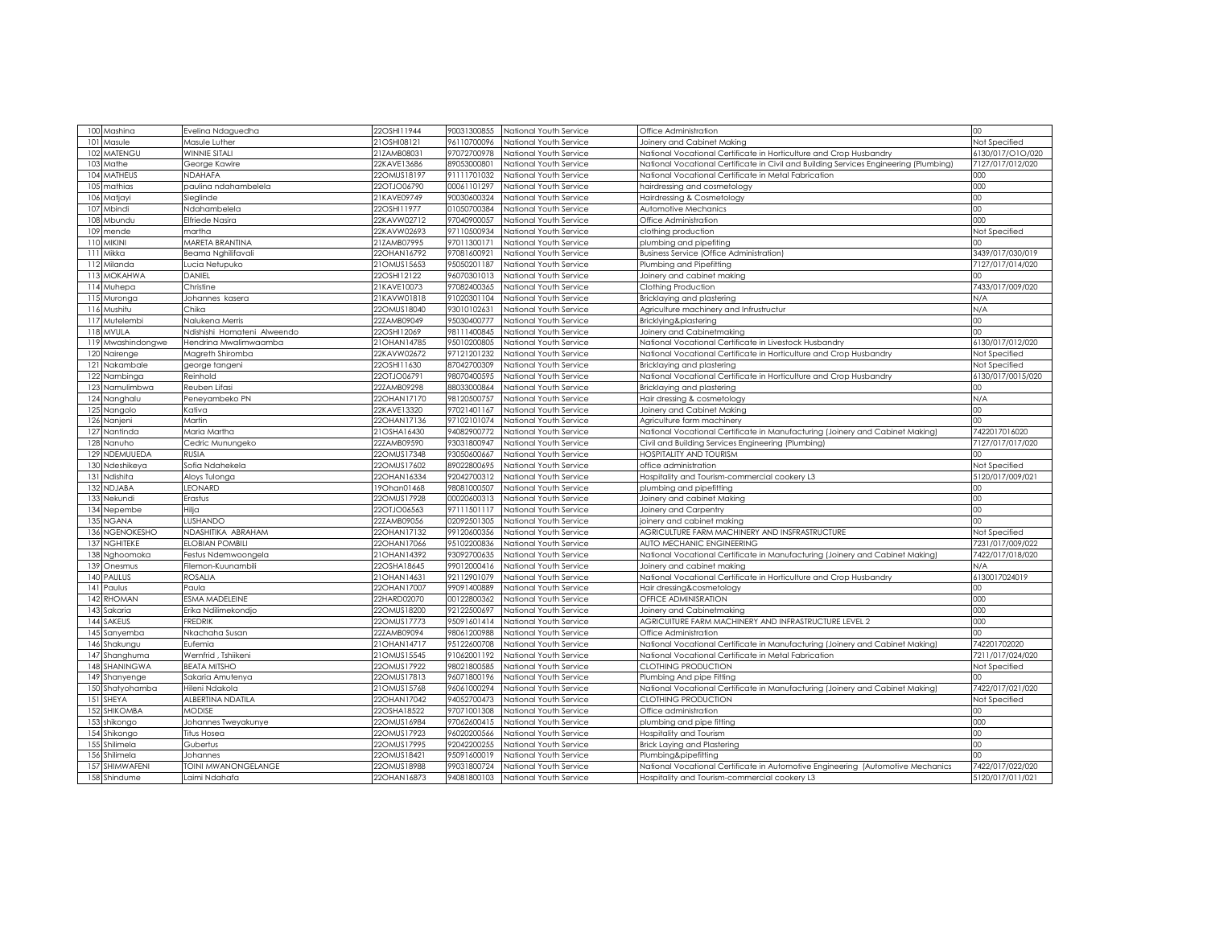|                  | 100 Mashina                | Evelina Ndaguedha                          | 22OSHI11944                | 90031300855                | National Youth Service                           | Office Administration                                                                                     | $^{00}$                           |
|------------------|----------------------------|--------------------------------------------|----------------------------|----------------------------|--------------------------------------------------|-----------------------------------------------------------------------------------------------------------|-----------------------------------|
| 101              | Masule                     | Masule Luther                              | 21OSHI08121                | 96110700096                | National Youth Service                           | Joinery and Cabinet Making                                                                                | Not Specified                     |
| 102              | MATENGU                    | <b>WINNIE SITALI</b>                       | 21ZAMB08031                | 97072700978                | National Youth Service                           | National Vocational Certificate in Horticulture and Crop Husbandry                                        | 6130/017/O1O/020                  |
| 103              | Mathe                      | George Kawire                              | 22KAVE13686                | 89053000801                | National Youth Service                           | National Vocational Certificate in Civil and Building Services Engineering (Plumbing)                     | 7127/017/012/020                  |
| 104              | MATHEUS                    | NDAHAFA                                    | 22OMUS18197                | 91111701032                | National Youth Service                           | National Vocational Certificate in Metal Fabrication                                                      | 000                               |
| 105              | nathias                    | paulina ndahambelela                       | 22OTJO06790                | 00061101297                | National Youth Service                           | hairdressing and cosmetology                                                                              | 000                               |
| 106              | Matjayi                    | Sieglinde                                  | 21KAVE09749                | 90030600324                | National Youth Service                           | Hairdressing & Cosmetology                                                                                | $^{00}$                           |
| 107              | Mbindi                     | Ndahambelela                               | 22OSHI11977                | 01050700384                | National Youth Service                           | Automotive Mechanics                                                                                      | $^{00}$                           |
|                  | 108 Mbundu                 | Elfriede Nasira                            | 22KAVW02712                | 97040900057                | National Youth Service                           | Office Administration                                                                                     | 000                               |
| 109              | mende                      | martha                                     | 22KAVW02693                | 97110500934                | National Youth Service                           | clothing production                                                                                       | Not Specified                     |
| 110              | <b>MIKINI</b>              | MARETA BRANTINA                            | 21ZAMB07995                | 97011300171                | National Youth Service                           | plumbing and pipefiting                                                                                   | 00                                |
| 111              | Mikka                      | Beama Nghilifavali                         | 22OHAN16792                | 97081600921                | National Youth Service                           | <b>Business Service (Office Administration)</b>                                                           | 3439/017/030/019                  |
|                  | 112 Milanda                | ucia Netupuko.                             | 21OMUS15653                | 95050201187                | National Youth Service                           | Plumbing and Pipefitting                                                                                  | 7127/017/014/020                  |
|                  | 113 MOKAHWA                | DANIEL                                     | 22OSHI12122                | 96070301013                | National Youth Service                           | Joinery and cabinet making                                                                                | 5                                 |
|                  | 114 Muhepa                 | Christine                                  | 21KAVE10073                | 97082400365                | National Youth Service                           | Clothing Production                                                                                       | 7433/017/009/020                  |
| 115              | Muronga                    | Johannes kasera                            | 21KAVW01818                | 91020301104                | National Youth Service                           | Bricklaying and plastering                                                                                | N/A                               |
|                  | 116 Mushitu                | Chika                                      | 22OMUS18040                | 93010102631                | National Youth Service                           | Agriculture machinery and Infrustructur                                                                   | N/A                               |
|                  | 117 Mutelembi              | Nalukena Merris                            | 22ZAMB09049                | 95030400777                | National Youth Service                           | Bricklying&plastering                                                                                     | $^{00}$                           |
|                  | 118 MVULA                  | Ndishishi Homateni Alweendo                | 22OSHI12069                | 98111400845                | National Youth Service                           | Joinery and Cabinetmaking                                                                                 | $^{00}$                           |
|                  | 119 Mwashindongwe          | Hendrina Mwalimwaamba                      | 21 OHAN 14785              | 95010200805                | National Youth Service                           | National Vocational Certificate in Livestock Husbandry                                                    | 6130/017/012/020                  |
| 120              | Nairenge                   | Magreth Shiromba                           | 22KAVW02672                | 97121201232                | National Youth Service                           | National Vocational Certificate in Horticulture and Crop Husbandry                                        | Not Specified                     |
|                  | 121 Nakambale              | george tangeni                             | 22OSHI11630                | 87042700309                | National Youth Service                           | Bricklaying and plastering                                                                                | Not Specified                     |
|                  | 122 Nambinga               | Reinhold                                   | 22OTJO06791                | 98070400595                | National Youth Service                           | National Vocational Certificate in Horticulture and Crop Husbandry                                        | 6130/017/0015/020                 |
|                  | 123 Namulimbwa             | Reuben Lifasi                              | 22ZAMB09298                | 88033000864                | National Youth Service                           | Bricklaying and plastering                                                                                | 00                                |
|                  | 124 Nanghalu               | Peneyambeko PN                             | 22OHAN17170                | 98120500757                | National Youth Service                           | Hair dressing & cosmetology                                                                               | N/A                               |
|                  | 125 Nangolo                | Kativa                                     | 22KAVE13320                | 97021401167                | National Youth Service                           | Joinery and Cabinet Making                                                                                | $^{00}$                           |
|                  | 126 Nanjeni                | Martin                                     | 22OHAN17136                | 97102101074                | National Youth Service                           | Agriculture farm machinery                                                                                | 5                                 |
|                  | 127 Nantinda               | Maria Martha                               | 21OSHA16430                | 94082900772                | National Youth Service                           | National Vocational Certificate in Manufacturing (Joinery and Cabinet Making)                             | 7422017016020                     |
|                  | 128 Nanuho                 | Cedric Munungeko                           | 22ZAMB09590                | 93031800947                | National Youth Service                           | Civil and Building Services Engineering (Plumbing)                                                        | 7127/017/017/020                  |
|                  | 129 NDEMUUEDA              | <b>RUSIA</b>                               | 22OMUS17348                | 93050600667                | National Youth Service                           | HOSPITALITY AND TOURISM                                                                                   | ωO                                |
| 130              | Vdeshikeya                 | Sofia Ndahekela                            | 22OMUS17602                | 89022800695                | National Youth Service                           | office administration                                                                                     | Not Specified                     |
|                  | 131 Ndishita               | Aloys Tulonga                              | 22OHAN16334                | 92042700312                | National Youth Service                           | Hospitality and Tourism-commercial cookery L3                                                             | 5120/017/009/021                  |
| 132              | <b>NDJABA</b>              | LEONARD                                    | 190han01468                | 98081000507                | National Youth Service                           | plumbing and pipefitting                                                                                  | $^{00}$                           |
|                  | 133 Nekundi                | Erastus                                    | 22OMUS17928                | 00020600313                | National Youth Service                           | Joinery and cabinet Making                                                                                | $^{00}$                           |
| 134              | Nepembe                    | Hilja                                      | 22OTJO06563                | 97111501117                | National Youth Service                           | Joinery and Carpentry                                                                                     | $^{00}$                           |
| 135              | <b>NGANA</b>               | LUSHANDO                                   | 22ZAMB09056                | 02092501305                | National Youth Service                           | oinery and cabinet making                                                                                 | CO                                |
| 136              | NGENOKESHO                 | NDASHITIKA ABRAHAM                         | 22OHAN17132                | 99120600356                | National Youth Service                           | AGRICULTURE FARM MACHINERY AND INSFRASTRUCTURE                                                            | Not Specified                     |
| 137              | NGHITEKE                   | <b>ELOBIAN POMBILI</b>                     | 22OHAN17066                | 95102200836                | National Youth Service                           | AUTO MECHANIC ENGINEERING                                                                                 | 7231/017/009/022                  |
|                  | 138 Nghoomoka              | Festus Ndemwoongela                        | 21 OHAN 14392              | 93092700635                | National Youth Service                           | National Vocational Certificate in Manufacturing (Joinery and Cabinet Making)                             | 7422/017/018/020                  |
|                  | 139 Onesmus                | Filemon-Kuunambili                         | 22OSHA18645                | 99012000416                | National Youth Service                           | Joinery and cabinet making                                                                                | N/A                               |
|                  | 140 PAULUS                 | ROSALIA                                    | 21OHAN14631                | 92112901079                | National Youth Service                           | National Vocational Certificate in Horticulture and Crop Husbandry                                        | 6130017024019                     |
|                  | 141 Paulus                 | Paula                                      | 22OHAN17007                | 99091400889                | National Youth Service                           | Hair dressing&cosmetology                                                                                 | $^{00}$<br>000                    |
|                  | 142 RHOMAN                 | ESMA MADELEINE                             | 22HARD02070                | 00122800362                | National Youth Service                           | OFFICE ADMINISRATION                                                                                      |                                   |
| 143L             | Sakaria                    | Erika Ndilimekondjo                        | 22OMUS18200                | 92122500697                | National Youth Service                           | Joinery and Cabinetmaking                                                                                 | 000<br>000                        |
| 144 <sup>3</sup> | SAKEUS                     | FREDRIK                                    | 22OMUS17773                | 95091601414                | National Youth Service                           | AGRICUITURE FARM MACHINERY AND INFRASTRUCTURE LEVEL 2                                                     | 5                                 |
| 145              | Sanyemba                   | Nkachaha Susan<br>Eufemia                  | 22ZAMB09094<br>21OHAN14717 | 98061200988<br>95122600708 | National Youth Service<br>National Youth Service | Office Administration<br>National Vocational Certificate in Manufacturing (Joinery and Cabinet Making     | 742201702020                      |
|                  | 146 Shakungu               |                                            |                            | 91062001192                |                                                  |                                                                                                           |                                   |
| 147              | Shanghuma<br>148 SHANINGWA | Wernfrid, Tshiikeni<br><b>BEATA MITSHO</b> | 21OMUS15545<br>22OMUS17922 | 98021800585                | National Youth Service<br>National Youth Service | National Vocational Certificate in Metal Fabrication<br>CLOTHING PRODUCTION                               | 7211/017/024/020<br>Not Specified |
|                  |                            |                                            |                            |                            |                                                  |                                                                                                           | m                                 |
| 149<br>150       | Shanyenge<br>Shatyohamba   | Sakaria Amutenya<br>Hileni Ndakola         | 22OMUS17813<br>21OMUS15768 | 96071800196<br>96061000294 | National Youth Service<br>National Youth Service | Plumbing And pipe Fitting<br>National Vocational Certificate in Manufacturing (Joinery and Cabinet Making | 7422/017/021/020                  |
|                  | 151 SHEYA                  | ALBERTINA NDATILA                          | 22OHAN17042                | 94052700473                | National Youth Service                           | CLOTHING PRODUCTION                                                                                       | Not Specified                     |
| 152              | <b>SHIKOMBA</b>            | <b>MODISE</b>                              | 22OSHA18522                | 97071001308                | National Youth Service                           | Office administration                                                                                     | 00                                |
|                  | 153 shikongo               | Johannes Tweyakunye                        | 22OMUS16984                | 97062600415                | National Youth Service                           | plumbing and pipe fitting                                                                                 | 000                               |
| 154              | Shikongo                   | Titus Hosea                                | 22OMUS17923                | 96020200566                | National Youth Service                           | Iospitality and Tourism                                                                                   | $^{00}$                           |
|                  | 155 Shilimela              | Gubertus                                   | 22OMUS17995                | 92042200255                | National Youth Service                           | <b>Brick Laying and Plastering</b>                                                                        | $^{00}$                           |
|                  | 156 Shilimela              | Johannes                                   | 22OMUS18421                | 95091600019                | National Youth Service                           | Plumbing&pipefitting                                                                                      | CC.                               |
|                  | 157 SHIMWAFENI             | <b>TOINI MWANONGELANGE</b>                 | 22OMUS18988                | 99031800724                | National Youth Service                           | National Vocational Certificate in Automotive Engineering (Automotive Mechanics                           | 7422/017/022/020                  |
|                  | 158 Shindume               | Laimi Ndahafa                              | 22OHAN16873                | 94081800103                | National Youth Service                           | Hospitality and Tourism-commercial cookery L3                                                             | 5120/017/011/021                  |
|                  |                            |                                            |                            |                            |                                                  |                                                                                                           |                                   |